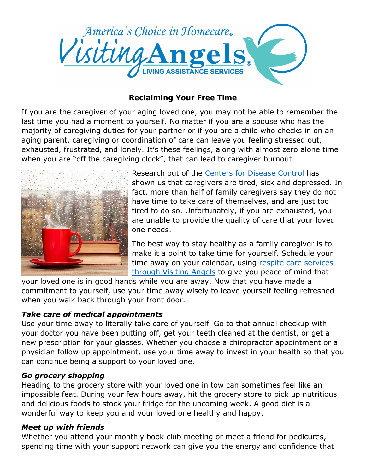

# **Reclaiming Your Free Time**

If you are the caregiver of your aging loved one, you may not be able to remember the last time you had a moment to yourself. No matter if you are a spouse who has the majority of caregiving duties for your partner or if you are a child who checks in on an aging parent, caregiving or coordination of care can leave you feeling stressed out, exhausted, frustrated, and lonely. It's these feelings, along with almost zero alone time when you are "off the caregiving clock", that can lead to caregiver burnout.



Research out of the [Centers for Disease Control](http://www.cdc.gov/aging/caregiving/facts.htm) has shown us that caregivers are tired, sick and depressed. In fact, more than half of family caregivers say they do not have time to take care of themselves, and are just too tired to do so. Unfortunately, if you are exhausted, you are unable to provide the quality of care that your loved one needs.

The best way to stay healthy as a family caregiver is to make it a point to take time for yourself. Schedule your time away on your calendar, using respite care services [through Visiting Angels](http://www.visitingangels.com/denver) to give you peace of mind that

your loved one is in good hands while you are away. Now that you have made a commitment to yourself, use your time away wisely to leave yourself feeling refreshed when you walk back through your front door.

## *Take care of medical appointments*

Use your time away to literally take care of yourself. Go to that annual checkup with your doctor you have been putting off, get your teeth cleaned at the dentist, or get a new prescription for your glasses. Whether you choose a chiropractor appointment or a physician follow up appointment, use your time away to invest in your health so that you can continue being a support to your loved one.

## *Go grocery shopping*

Heading to the grocery store with your loved one in tow can sometimes feel like an impossible feat. During your few hours away, hit the grocery store to pick up nutritious and delicious foods to stock your fridge for the upcoming week. A good diet is a wonderful way to keep you and your loved one healthy and happy.

#### *Meet up with friends*

Whether you attend your monthly book club meeting or meet a friend for pedicures, spending time with your support network can give you the energy and confidence that